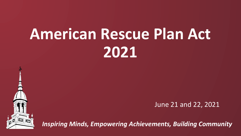# **American Rescue Plan Act 2021**



June 21 and 22, 2021

*Inspiring Minds, Empowering Achievements, Building Community*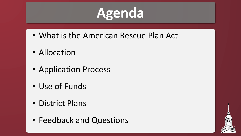## **Agenda**

- What is the American Rescue Plan Act
- Allocation
- Application Process
- Use of Funds
- District Plans
- Feedback and Questions

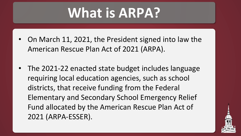## **What is ARPA?**

- On March 11, 2021, the President signed into law the American Rescue Plan Act of 2021 (ARPA).
- The 2021-22 enacted state budget includes language requiring local education agencies, such as school districts, that receive funding from the Federal Elementary and Secondary School Emergency Relief Fund allocated by the American Rescue Plan Act of 2021 (ARPA-ESSER).

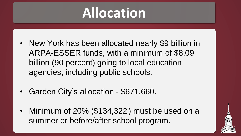## **Allocation**

- New York has been allocated nearly \$9 billion in ARPA-ESSER funds, with a minimum of \$8.09 billion (90 percent) going to local education agencies, including public schools.
- Garden City's allocation \$671,660.
- Minimum of 20% (\$134,322) must be used on a summer or before/after school program.

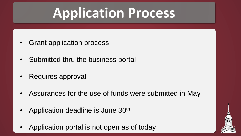## **Application Process**

- Grant application process
- Submitted thru the business portal
- Requires approval
- Assurances for the use of funds were submitted in May
- Application deadline is June 30<sup>th</sup>
- Application portal is not open as of today

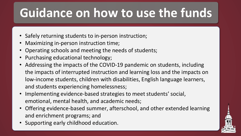### **Guidance on how to use the funds**

- Safely returning students to in-person instruction;
- Maximizing in-person instruction time;
- Operating schools and meeting the needs of students;
- Purchasing educational technology;
- Addressing the impacts of the COVID-19 pandemic on students, including the impacts of interrupted instruction and learning loss and the impacts on low-income students, children with disabilities, English language learners, and students experiencing homelessness;
- Implementing evidence-based strategies to meet students' social, emotional, mental health, and academic needs;
- Offering evidence-based summer, afterschool, and other extended learning and enrichment programs; and
- Supporting early childhood education.

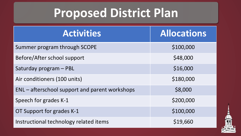#### **Proposed District Plan**

| <b>Activities</b>                              | <b>Allocations</b> |
|------------------------------------------------|--------------------|
| Summer program through SCOPE                   | \$100,000          |
| Before/After school support                    | \$48,000           |
| Saturday program - PBL                         | \$16,000           |
| Air conditioners (100 units)                   | \$180,000          |
| ENL – afterschool support and parent workshops | \$8,000            |
| Speech for grades K-1                          | \$200,000          |
| OT Support for grades K-1                      | \$100,000          |
| Instructional technology related items         | \$19,660           |

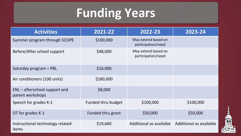### **Funding Years**

| <b>Activities</b>                                   | 2021-22                   | 2022-23                                   | 2023-24                 |
|-----------------------------------------------------|---------------------------|-------------------------------------------|-------------------------|
| Summer program through SCOPE                        | \$100,000                 | May extend based on<br>participation/need |                         |
| Before/After school support                         | \$48,000                  | May extend based on<br>participation/need |                         |
| Saturday program - PBL                              | \$16,000                  |                                           |                         |
| Air conditioners (100 units)                        | \$180,000                 |                                           |                         |
| $ENL -$ afterschool support and<br>parent workshops | \$8,000                   |                                           |                         |
| Speech for grades K-1                               | <b>Funded thru budget</b> | \$100,000                                 | \$100,000               |
| OT for grades K-1                                   | Funded thru grant         | \$50,000                                  | \$50,000                |
| Instructional technology related<br>items           | \$19,660                  | Additional as available                   | Additional as available |